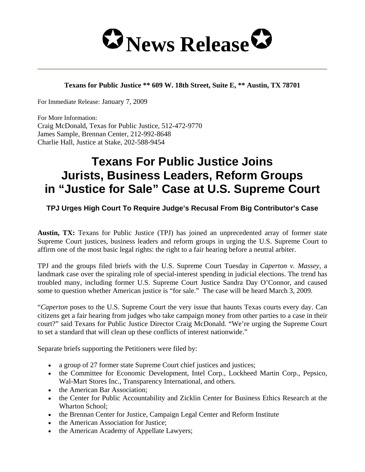

## **Texans for Public Justice \*\* 609 W. 18th Street, Suite E, \*\* Austin, TX 78701**

For Immediate Release: January 7, 2009

For More Information: Craig McDonald, Texas for Public Justice, 512-472-9770 James Sample, Brennan Center, 212-992-8648 Charlie Hall, Justice at Stake, 202-588-9454

## **Texans For Public Justice Joins Jurists, Business Leaders, Reform Groups in "Justice for Sale" Case at U.S. Supreme Court**

## **TPJ Urges High Court To Require Judge's Recusal From Big Contributor's Case**

**Austin, TX:** Texans for Public Justice (TPJ) has joined an unprecedented array of former state Supreme Court justices, business leaders and reform groups in urging the U.S. Supreme Court to affirm one of the most basic legal rights: the right to a fair hearing before a neutral arbiter.

TPJ and the groups filed briefs with the U.S. Supreme Court Tuesday in *Caperton v. Massey*, a landmark case over the spiraling role of special-interest spending in judicial elections. The trend has troubled many, including former U.S. Supreme Court Justice Sandra Day O'Connor, and caused some to question whether American justice is "for sale." The case will be heard March 3, 2009.

"*Caperton* poses to the U.S. Supreme Court the very issue that haunts Texas courts every day. Can citizens get a fair hearing from judges who take campaign money from other parties to a case in their court?" said Texans for Public Justice Director Craig McDonald. "We're urging the Supreme Court to set a standard that will clean up these conflicts of interest nationwide."

Separate briefs supporting the Petitioners were filed by:

- a group of 27 former state Supreme Court chief justices and justices;
- the Committee for Economic Development, Intel Corp., Lockheed Martin Corp., Pepsico, Wal-Mart Stores Inc., Transparency International, and others.
- the American Bar Association;
- the Center for Public Accountability and Zicklin Center for Business Ethics Research at the Wharton School;
- the Brennan Center for Justice, Campaign Legal Center and Reform Institute
- the American Association for Justice;
- the American Academy of Appellate Lawyers;